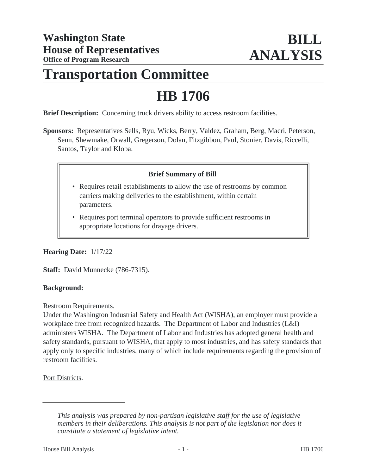## **Transportation Committee**

# **HB 1706**

**Brief Description:** Concerning truck drivers ability to access restroom facilities.

**Sponsors:** Representatives Sells, Ryu, Wicks, Berry, Valdez, Graham, Berg, Macri, Peterson, Senn, Shewmake, Orwall, Gregerson, Dolan, Fitzgibbon, Paul, Stonier, Davis, Riccelli, Santos, Taylor and Kloba.

#### **Brief Summary of Bill**

- Requires retail establishments to allow the use of restrooms by common carriers making deliveries to the establishment, within certain parameters.
- Requires port terminal operators to provide sufficient restrooms in appropriate locations for drayage drivers.

#### **Hearing Date:** 1/17/22

**Staff:** David Munnecke (786-7315).

#### **Background:**

Restroom Requirements.

Under the Washington Industrial Safety and Health Act (WISHA), an employer must provide a workplace free from recognized hazards. The Department of Labor and Industries (L&I) administers WISHA. The Department of Labor and Industries has adopted general health and safety standards, pursuant to WISHA, that apply to most industries, and has safety standards that apply only to specific industries, many of which include requirements regarding the provision of restroom facilities.

Port Districts.

*This analysis was prepared by non-partisan legislative staff for the use of legislative members in their deliberations. This analysis is not part of the legislation nor does it constitute a statement of legislative intent.*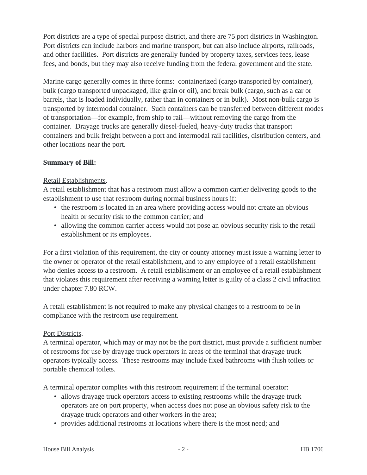Port districts are a type of special purpose district, and there are 75 port districts in Washington. Port districts can include harbors and marine transport, but can also include airports, railroads, and other facilities. Port districts are generally funded by property taxes, services fees, lease fees, and bonds, but they may also receive funding from the federal government and the state.

Marine cargo generally comes in three forms: containerized (cargo transported by container), bulk (cargo transported unpackaged, like grain or oil), and break bulk (cargo, such as a car or barrels, that is loaded individually, rather than in containers or in bulk). Most non-bulk cargo is transported by intermodal container. Such containers can be transferred between different modes of transportation—for example, from ship to rail—without removing the cargo from the container. Drayage trucks are generally diesel-fueled, heavy-duty trucks that transport containers and bulk freight between a port and intermodal rail facilities, distribution centers, and other locations near the port.

## **Summary of Bill:**

## Retail Establishments.

A retail establishment that has a restroom must allow a common carrier delivering goods to the establishment to use that restroom during normal business hours if:

- the restroom is located in an area where providing access would not create an obvious health or security risk to the common carrier; and
- allowing the common carrier access would not pose an obvious security risk to the retail establishment or its employees.

For a first violation of this requirement, the city or county attorney must issue a warning letter to the owner or operator of the retail establishment, and to any employee of a retail establishment who denies access to a restroom. A retail establishment or an employee of a retail establishment that violates this requirement after receiving a warning letter is guilty of a class 2 civil infraction under chapter 7.80 RCW.

A retail establishment is not required to make any physical changes to a restroom to be in compliance with the restroom use requirement.

## Port Districts.

A terminal operator, which may or may not be the port district, must provide a sufficient number of restrooms for use by drayage truck operators in areas of the terminal that drayage truck operators typically access. These restrooms may include fixed bathrooms with flush toilets or portable chemical toilets.

A terminal operator complies with this restroom requirement if the terminal operator:

- allows drayage truck operators access to existing restrooms while the drayage truck operators are on port property, when access does not pose an obvious safety risk to the drayage truck operators and other workers in the area;
- provides additional restrooms at locations where there is the most need; and